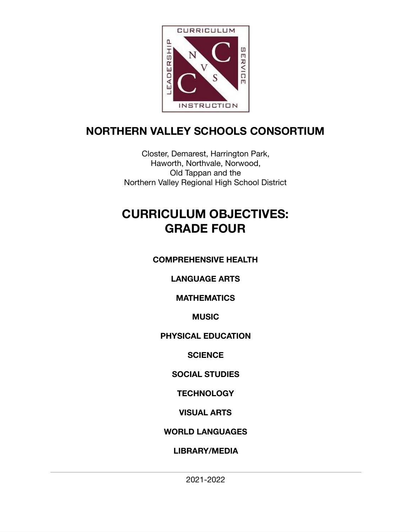

# **NORTHERN VALLEY SCHOOLS CONSORTIUM**

Closter, Demarest, Harrington Park, Haworth, Northvale, Norwood, Old Tappan and the Northern Valley Regional High School District

# **CURRICULUM OBJECTIVES: GRADE FOUR**

# **COMPREHENSIVE HEALTH**

# **LANGUAGE ARTS**

# **MATHEMATICS**

# **MUSIC**

# **PHYSICAL EDUCATION**

# **SCIENCE**

# **SOCIAL STUDIES**

# **TECHNOLOGY**

# **VISUAL ARTS**

# **WORLD LANGUAGES**

# **LIBRARY/MEDIA**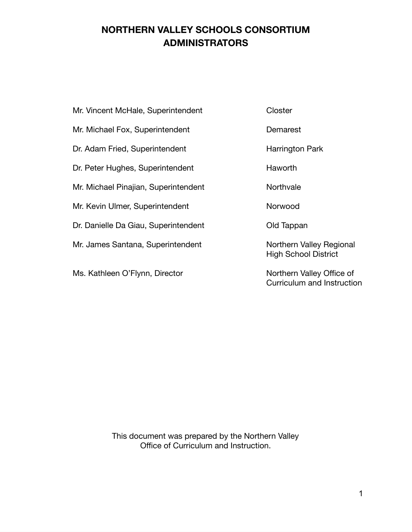# **NORTHERN VALLEY SCHOOLS CONSORTIUM ADMINISTRATORS**

|  | Mr. Vincent McHale, Superintendent |
|--|------------------------------------|
|  |                                    |

Mr. Michael Fox, Superintendent Demarest

Dr. Adam Fried, Superintendent Harrington Park

Dr. Peter Hughes, Superintendent Haworth

Mr. Michael Pinajian, Superintendent Northvale

Mr. Kevin Ulmer, Superintendent Norwood

Dr. Danielle Da Giau, Superintendent Cold Tappan

Mr. James Santana, Superintendent Northern Valley Regional

Ms. Kathleen O'Flynn, Director Northern Valley Office of

Closter

High School District

Curriculum and Instruction

This document was prepared by the Northern Valley Office of Curriculum and Instruction.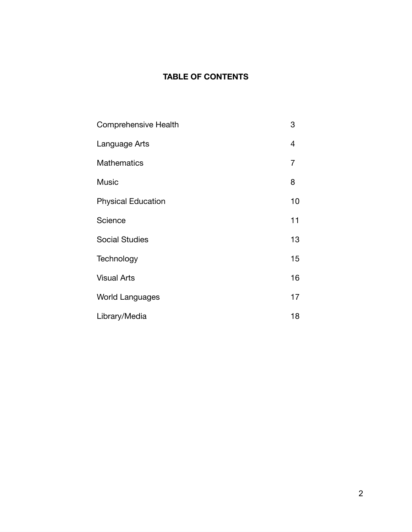# **TABLE OF CONTENTS**

| Comprehensive Health      |                |  |
|---------------------------|----------------|--|
| Language Arts             | 4              |  |
| <b>Mathematics</b>        | $\overline{7}$ |  |
| <b>Music</b>              | 8              |  |
| <b>Physical Education</b> | 10             |  |
| Science                   | 11             |  |
| <b>Social Studies</b>     | 13             |  |
| Technology                | 15             |  |
| <b>Visual Arts</b>        | 16             |  |
| <b>World Languages</b>    | 17             |  |
| Library/Media             | 18             |  |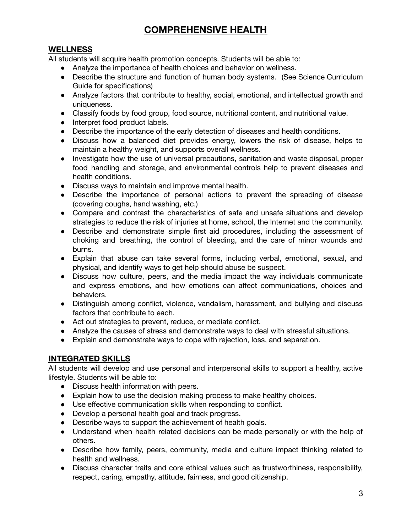# **COMPREHENSIVE HEALTH**

# **WELLNESS**

All students will acquire health promotion concepts. Students will be able to:

- Analyze the importance of health choices and behavior on wellness.
- Describe the structure and function of human body systems. (See Science Curriculum Guide for specifications)
- Analyze factors that contribute to healthy, social, emotional, and intellectual growth and uniqueness.
- Classify foods by food group, food source, nutritional content, and nutritional value.
- Interpret food product labels.
- Describe the importance of the early detection of diseases and health conditions.
- Discuss how a balanced diet provides energy, lowers the risk of disease, helps to maintain a healthy weight, and supports overall wellness.
- Investigate how the use of universal precautions, sanitation and waste disposal, proper food handling and storage, and environmental controls help to prevent diseases and health conditions.
- Discuss ways to maintain and improve mental health.
- Describe the importance of personal actions to prevent the spreading of disease (covering coughs, hand washing, etc.)
- Compare and contrast the characteristics of safe and unsafe situations and develop strategies to reduce the risk of injuries at home, school, the Internet and the community.
- Describe and demonstrate simple first aid procedures, including the assessment of choking and breathing, the control of bleeding, and the care of minor wounds and burns.
- Explain that abuse can take several forms, including verbal, emotional, sexual, and physical, and identify ways to get help should abuse be suspect.
- Discuss how culture, peers, and the media impact the way individuals communicate and express emotions, and how emotions can affect communications, choices and behaviors.
- Distinguish among conflict, violence, vandalism, harassment, and bullying and discuss factors that contribute to each.
- Act out strategies to prevent, reduce, or mediate conflict.
- Analyze the causes of stress and demonstrate ways to deal with stressful situations.
- Explain and demonstrate ways to cope with rejection, loss, and separation.

# **INTEGRATED SKILLS**

All students will develop and use personal and interpersonal skills to support a healthy, active lifestyle. Students will be able to:

- Discuss health information with peers.
- Explain how to use the decision making process to make healthy choices.
- Use effective communication skills when responding to conflict.
- Develop a personal health goal and track progress.
- Describe ways to support the achievement of health goals.
- Understand when health related decisions can be made personally or with the help of others.
- Describe how family, peers, community, media and culture impact thinking related to health and wellness.
- Discuss character traits and core ethical values such as trustworthiness, responsibility, respect, caring, empathy, attitude, fairness, and good citizenship.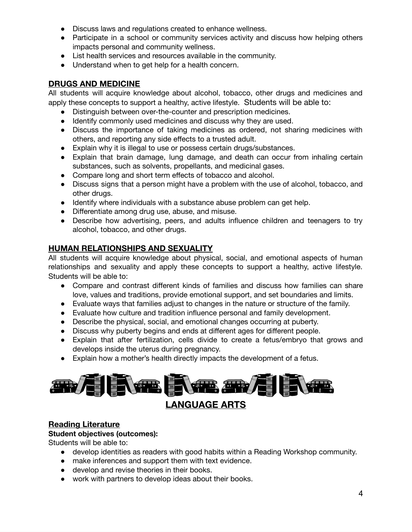- Discuss laws and regulations created to enhance wellness.
- Participate in a school or community services activity and discuss how helping others impacts personal and community wellness.
- List health services and resources available in the community.
- Understand when to get help for a health concern.

#### **DRUGS AND MEDICINE**

All students will acquire knowledge about alcohol, tobacco, other drugs and medicines and apply these concepts to support a healthy, active lifestyle. Students will be able to:

- Distinguish between over-the-counter and prescription medicines.
- Identify commonly used medicines and discuss why they are used.
- Discuss the importance of taking medicines as ordered, not sharing medicines with others, and reporting any side effects to a trusted adult.
- Explain why it is illegal to use or possess certain drugs/substances.
- Explain that brain damage, lung damage, and death can occur from inhaling certain substances, such as solvents, propellants, and medicinal gases.
- Compare long and short term effects of tobacco and alcohol.
- Discuss signs that a person might have a problem with the use of alcohol, tobacco, and other drugs.
- Identify where individuals with a substance abuse problem can get help.
- Differentiate among drug use, abuse, and misuse.
- Describe how advertising, peers, and adults influence children and teenagers to try alcohol, tobacco, and other drugs.

## **HUMAN RELATIONSHIPS AND SEXUALITY**

All students will acquire knowledge about physical, social, and emotional aspects of human relationships and sexuality and apply these concepts to support a healthy, active lifestyle. Students will be able to:

- Compare and contrast different kinds of families and discuss how families can share love, values and traditions, provide emotional support, and set boundaries and limits.
- Evaluate ways that families adjust to changes in the nature or structure of the family.
- Evaluate how culture and tradition influence personal and family development.
- Describe the physical, social, and emotional changes occurring at puberty.
- Discuss why puberty begins and ends at different ages for different people.
- Explain that after fertilization, cells divide to create a fetus/embryo that grows and develops inside the uterus during pregnancy.
- Explain how a mother's health directly impacts the development of a fetus.



#### **Reading Literature**

#### **Student objectives (outcomes):**

Students will be able to:

- develop identities as readers with good habits within a Reading Workshop community.
- make inferences and support them with text evidence.
- develop and revise theories in their books.
- work with partners to develop ideas about their books.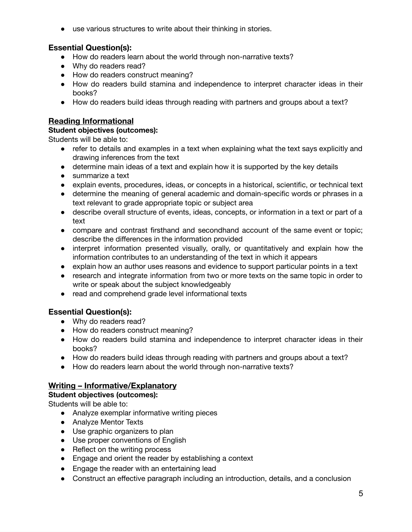● use various structures to write about their thinking in stories.

# **Essential Question(s):**

- How do readers learn about the world through non-narrative texts?
- Why do readers read?
- How do readers construct meaning?
- How do readers build stamina and independence to interpret character ideas in their books?
- How do readers build ideas through reading with partners and groups about a text?

# **Reading Informational**

## **Student objectives (outcomes):**

Students will be able to:

- refer to details and examples in a text when explaining what the text says explicitly and drawing inferences from the text
- determine main ideas of a text and explain how it is supported by the key details
- summarize a text
- explain events, procedures, ideas, or concepts in a historical, scientific, or technical text
- determine the meaning of general academic and domain-specific words or phrases in a text relevant to grade appropriate topic or subject area
- describe overall structure of events, ideas, concepts, or information in a text or part of a text
- compare and contrast firsthand and secondhand account of the same event or topic; describe the differences in the information provided
- interpret information presented visually, orally, or quantitatively and explain how the information contributes to an understanding of the text in which it appears
- explain how an author uses reasons and evidence to support particular points in a text
- research and integrate information from two or more texts on the same topic in order to write or speak about the subject knowledgeably
- read and comprehend grade level informational texts

# **Essential Question(s):**

- Why do readers read?
- How do readers construct meaning?
- How do readers build stamina and independence to interpret character ideas in their books?
- How do readers build ideas through reading with partners and groups about a text?
- How do readers learn about the world through non-narrative texts?

# **Writing – Informative/Explanatory**

# **Student objectives (outcomes):**

Students will be able to:

- Analyze exemplar informative writing pieces
- Analyze Mentor Texts
- Use graphic organizers to plan
- Use proper conventions of English
- Reflect on the writing process
- Engage and orient the reader by establishing a context
- Engage the reader with an entertaining lead
- Construct an effective paragraph including an introduction, details, and a conclusion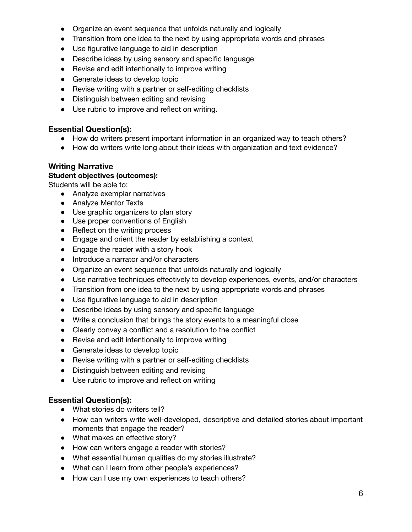- Organize an event sequence that unfolds naturally and logically
- Transition from one idea to the next by using appropriate words and phrases
- Use figurative language to aid in description
- Describe ideas by using sensory and specific language
- Revise and edit intentionally to improve writing
- Generate ideas to develop topic
- Revise writing with a partner or self-editing checklists
- Distinguish between editing and revising
- Use rubric to improve and reflect on writing.

# **Essential Question(s):**

- How do writers present important information in an organized way to teach others?
- How do writers write long about their ideas with organization and text evidence?

# **Writing Narrative**

## **Student objectives (outcomes):**

Students will be able to:

- Analyze exemplar narratives
- Analyze Mentor Texts
- Use graphic organizers to plan story
- Use proper conventions of English
- Reflect on the writing process
- Engage and orient the reader by establishing a context
- Engage the reader with a story hook
- Introduce a narrator and/or characters
- Organize an event sequence that unfolds naturally and logically
- Use narrative techniques effectively to develop experiences, events, and/or characters
- Transition from one idea to the next by using appropriate words and phrases
- Use figurative language to aid in description
- Describe ideas by using sensory and specific language
- Write a conclusion that brings the story events to a meaningful close
- Clearly convey a conflict and a resolution to the conflict
- Revise and edit intentionally to improve writing
- Generate ideas to develop topic
- Revise writing with a partner or self-editing checklists
- Distinguish between editing and revising
- Use rubric to improve and reflect on writing

# **Essential Question(s):**

- What stories do writers tell?
- How can writers write well-developed, descriptive and detailed stories about important moments that engage the reader?
- What makes an effective story?
- How can writers engage a reader with stories?
- What essential human qualities do my stories illustrate?
- What can I learn from other people's experiences?
- How can I use my own experiences to teach others?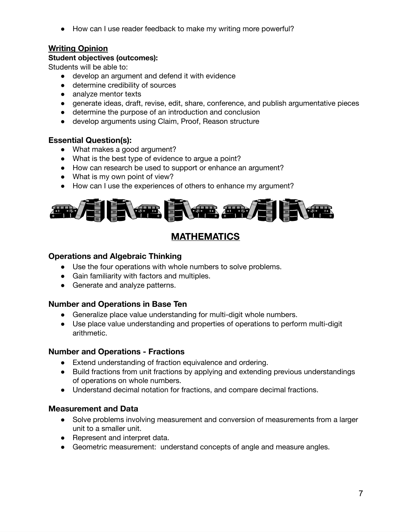● How can I use reader feedback to make my writing more powerful?

# **Writing Opinion**

#### **Student objectives (outcomes):**

Students will be able to:

- develop an argument and defend it with evidence
- determine credibility of sources
- analyze mentor texts
- generate ideas, draft, revise, edit, share, conference, and publish argumentative pieces
- determine the purpose of an introduction and conclusion
- develop arguments using Claim, Proof, Reason structure

## **Essential Question(s):**

- What makes a good argument?
- What is the best type of evidence to argue a point?
- How can research be used to support or enhance an argument?
- What is my own point of view?
- How can I use the experiences of others to enhance my argument?



# **MATHEMATICS**

#### **Operations and Algebraic Thinking**

- Use the four operations with whole numbers to solve problems.
- Gain familiarity with factors and multiples.
- Generate and analyze patterns.

# **Number and Operations in Base Ten**

- Generalize place value understanding for multi-digit whole numbers.
- Use place value understanding and properties of operations to perform multi-digit arithmetic.

#### **Number and Operations - Fractions**

- Extend understanding of fraction equivalence and ordering.
- Build fractions from unit fractions by applying and extending previous understandings of operations on whole numbers.
- Understand decimal notation for fractions, and compare decimal fractions.

#### **Measurement and Data**

- Solve problems involving measurement and conversion of measurements from a larger unit to a smaller unit.
- Represent and interpret data.
- Geometric measurement: understand concepts of angle and measure angles.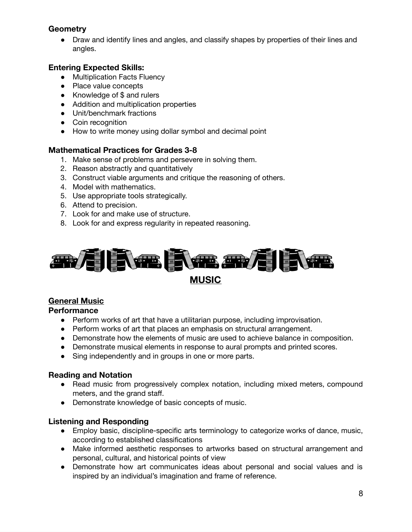# **Geometry**

● Draw and identify lines and angles, and classify shapes by properties of their lines and angles.

## **Entering Expected Skills:**

- **●** Multiplication Facts Fluency
- **●** Place value concepts
- **●** Knowledge of \$ and rulers
- **●** Addition and multiplication properties
- **●** Unit/benchmark fractions
- **●** Coin recognition
- How to write money using dollar symbol and decimal point

#### **Mathematical Practices for Grades 3-8**

- 1. Make sense of problems and persevere in solving them.
- 2. Reason abstractly and quantitatively
- 3. Construct viable arguments and critique the reasoning of others.
- 4. Model with mathematics.
- 5. Use appropriate tools strategically.
- 6. Attend to precision.
- 7. Look for and make use of structure.
- 8. Look for and express regularity in repeated reasoning.



# **General Music**

#### **Performance**

- Perform works of art that have a utilitarian purpose, including improvisation.
- Perform works of art that places an emphasis on structural arrangement.
- Demonstrate how the elements of music are used to achieve balance in composition.
- Demonstrate musical elements in response to aural prompts and printed scores.
- Sing independently and in groups in one or more parts.

#### **Reading and Notation**

- Read music from progressively complex notation, including mixed meters, compound meters, and the grand staff.
- Demonstrate knowledge of basic concepts of music.

#### **Listening and Responding**

- Employ basic, discipline-specific arts terminology to categorize works of dance, music, according to established classifications
- Make informed aesthetic responses to artworks based on structural arrangement and personal, cultural, and historical points of view
- Demonstrate how art communicates ideas about personal and social values and is inspired by an individual's imagination and frame of reference.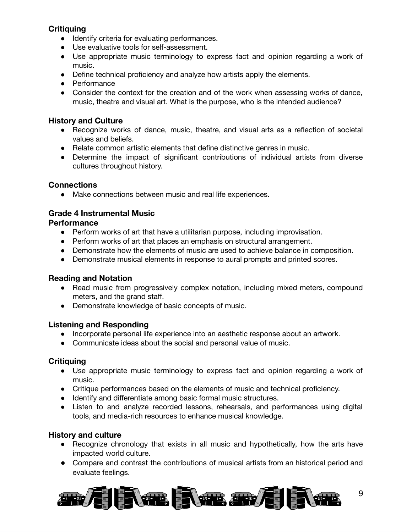# **Critiquing**

- Identify criteria for evaluating performances.
- Use evaluative tools for self-assessment.
- Use appropriate music terminology to express fact and opinion regarding a work of music.
- Define technical proficiency and analyze how artists apply the elements.
- Performance
- Consider the context for the creation and of the work when assessing works of dance, music, theatre and visual art. What is the purpose, who is the intended audience?

## **History and Culture**

- Recognize works of dance, music, theatre, and visual arts as a reflection of societal values and beliefs.
- Relate common artistic elements that define distinctive genres in music.
- Determine the impact of significant contributions of individual artists from diverse cultures throughout history.

## **Connections**

● Make connections between music and real life experiences.

# **Grade 4 Instrumental Music**

#### **Performance**

- Perform works of art that have a utilitarian purpose, including improvisation.
- Perform works of art that places an emphasis on structural arrangement.
- Demonstrate how the elements of music are used to achieve balance in composition.
- Demonstrate musical elements in response to aural prompts and printed scores.

#### **Reading and Notation**

- Read music from progressively complex notation, including mixed meters, compound meters, and the grand staff.
- Demonstrate knowledge of basic concepts of music.

# **Listening and Responding**

- Incorporate personal life experience into an aesthetic response about an artwork.
- Communicate ideas about the social and personal value of music.

# **Critiquing**

- Use appropriate music terminology to express fact and opinion regarding a work of music.
- Critique performances based on the elements of music and technical proficiency.
- Identify and differentiate among basic formal music structures.
- Listen to and analyze recorded lessons, rehearsals, and performances using digital tools, and media-rich resources to enhance musical knowledge.

#### **History and culture**

- Recognize chronology that exists in all music and hypothetically, how the arts have impacted world culture.
- Compare and contrast the contributions of musical artists from an historical period and evaluate feelings.

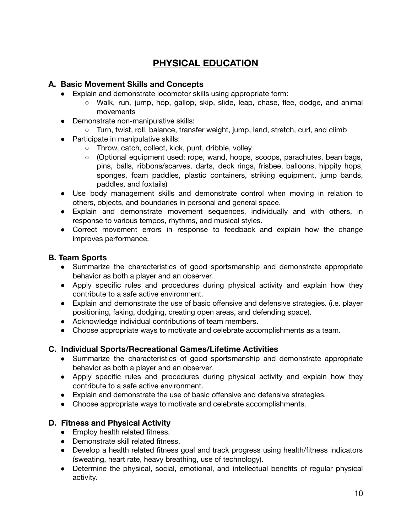# **PHYSICAL EDUCATION**

# **A. Basic Movement Skills and Concepts**

- Explain and demonstrate locomotor skills using appropriate form:
	- Walk, run, jump, hop, gallop, skip, slide, leap, chase, flee, dodge, and animal movements
- Demonstrate non-manipulative skills:
	- Turn, twist, roll, balance, transfer weight, jump, land, stretch, curl, and climb
- Participate in manipulative skills:
	- Throw, catch, collect, kick, punt, dribble, volley
	- (Optional equipment used: rope, wand, hoops, scoops, parachutes, bean bags, pins, balls, ribbons/scarves, darts, deck rings, frisbee, balloons, hippity hops, sponges, foam paddles, plastic containers, striking equipment, jump bands, paddles, and foxtails)
- Use body management skills and demonstrate control when moving in relation to others, objects, and boundaries in personal and general space.
- Explain and demonstrate movement sequences, individually and with others, in response to various tempos, rhythms, and musical styles.
- Correct movement errors in response to feedback and explain how the change improves performance.

## **B. Team Sports**

- Summarize the characteristics of good sportsmanship and demonstrate appropriate behavior as both a player and an observer.
- Apply specific rules and procedures during physical activity and explain how they contribute to a safe active environment.
- Explain and demonstrate the use of basic offensive and defensive strategies. (i.e. player positioning, faking, dodging, creating open areas, and defending space).
- Acknowledge individual contributions of team members.
- Choose appropriate ways to motivate and celebrate accomplishments as a team.

# **C. Individual Sports/Recreational Games/Lifetime Activities**

- Summarize the characteristics of good sportsmanship and demonstrate appropriate behavior as both a player and an observer.
- Apply specific rules and procedures during physical activity and explain how they contribute to a safe active environment.
- Explain and demonstrate the use of basic offensive and defensive strategies.
- Choose appropriate ways to motivate and celebrate accomplishments.

# **D. Fitness and Physical Activity**

- Employ health related fitness.
- Demonstrate skill related fitness.
- Develop a health related fitness goal and track progress using health/fitness indicators (sweating, heart rate, heavy breathing, use of technology).
- Determine the physical, social, emotional, and intellectual benefits of regular physical activity.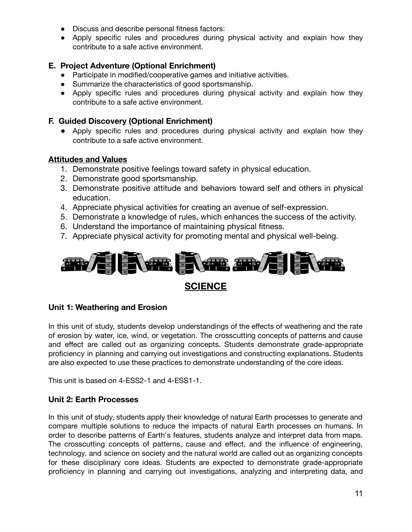- Discuss and describe personal fitness factors:
- Apply specific rules and procedures during physical activity and explain how they contribute to a safe active environment.

## **E. Project Adventure (Optional Enrichment)**

- Participate in modified/cooperative games and initiative activities.
- Summarize the characteristics of good sportsmanship.
- Apply specific rules and procedures during physical activity and explain how they contribute to a safe active environment.

#### **F. Guided Discovery (Optional Enrichment)**

● Apply specific rules and procedures during physical activity and explain how they contribute to a safe active environment.

#### **Attitudes and Values**

- 1. Demonstrate positive feelings toward safety in physical education.
- 2. Demonstrate good sportsmanship.
- 3. Demonstrate positive attitude and behaviors toward self and others in physical education.
- 4. Appreciate physical activities for creating an avenue of self-expression.
- 5. Demonstrate a knowledge of rules, which enhances the success of the activity.
- 6. Understand the importance of maintaining physical fitness.
- 7. Appreciate physical activity for promoting mental and physical well-being.



**SCIENCE**

#### **Unit 1: Weathering and Erosion**

In this unit of study, students develop understandings of the effects of weathering and the rate of erosion by water, ice, wind, or vegetation. The crosscutting concepts of patterns and cause and effect are called out as organizing concepts. Students demonstrate grade-appropriate proficiency in planning and carrying out investigations and constructing explanations. Students are also expected to use these practices to demonstrate understanding of the core ideas.

This unit is based on 4-ESS2-1 and 4-ESS1-1.

#### **Unit 2: Earth Processes**

In this unit of study, students apply their knowledge of natural Earth processes to generate and compare multiple solutions to reduce the impacts of natural Earth processes on humans. In order to describe patterns of Earth's features, students analyze and interpret data from maps. The crosscutting concepts of patterns, cause and effect, and the influence of engineering, technology, and science on society and the natural world are called out as organizing concepts for these disciplinary core ideas. Students are expected to demonstrate grade-appropriate proficiency in planning and carrying out investigations, analyzing and interpreting data, and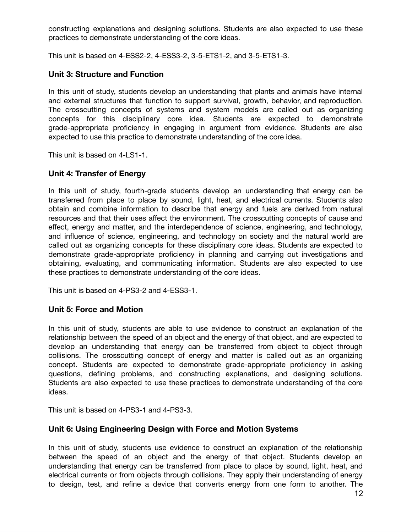constructing explanations and designing solutions. Students are also expected to use these practices to demonstrate understanding of the core ideas.

This unit is based on 4-ESS2-2, 4-ESS3-2, 3-5-ETS1-2, and 3-5-ETS1-3.

### **Unit 3: Structure and Function**

In this unit of study, students develop an understanding that plants and animals have internal and external structures that function to support survival, growth, behavior, and reproduction. The crosscutting concepts of systems and system models are called out as organizing concepts for this disciplinary core idea. Students are expected to demonstrate grade-appropriate proficiency in engaging in argument from evidence. Students are also expected to use this practice to demonstrate understanding of the core idea.

This unit is based on 4-LS1-1.

#### **Unit 4: Transfer of Energy**

In this unit of study, fourth-grade students develop an understanding that energy can be transferred from place to place by sound, light, heat, and electrical currents. Students also obtain and combine information to describe that energy and fuels are derived from natural resources and that their uses affect the environment. The crosscutting concepts of cause and effect, energy and matter, and the interdependence of science, engineering, and technology, and influence of science, engineering, and technology on society and the natural world are called out as organizing concepts for these disciplinary core ideas. Students are expected to demonstrate grade-appropriate proficiency in planning and carrying out investigations and obtaining, evaluating, and communicating information. Students are also expected to use these practices to demonstrate understanding of the core ideas.

This unit is based on 4-PS3-2 and 4-ESS3-1.

#### **Unit 5: Force and Motion**

In this unit of study, students are able to use evidence to construct an explanation of the relationship between the speed of an object and the energy of that object, and are expected to develop an understanding that energy can be transferred from object to object through collisions. The crosscutting concept of energy and matter is called out as an organizing concept. Students are expected to demonstrate grade-appropriate proficiency in asking questions, defining problems, and constructing explanations, and designing solutions. Students are also expected to use these practices to demonstrate understanding of the core ideas.

This unit is based on 4-PS3-1 and 4-PS3-3.

#### **Unit 6: Using Engineering Design with Force and Motion Systems**

In this unit of study, students use evidence to construct an explanation of the relationship between the speed of an object and the energy of that object. Students develop an understanding that energy can be transferred from place to place by sound, light, heat, and electrical currents or from objects through collisions. They apply their understanding of energy to design, test, and refine a device that converts energy from one form to another. The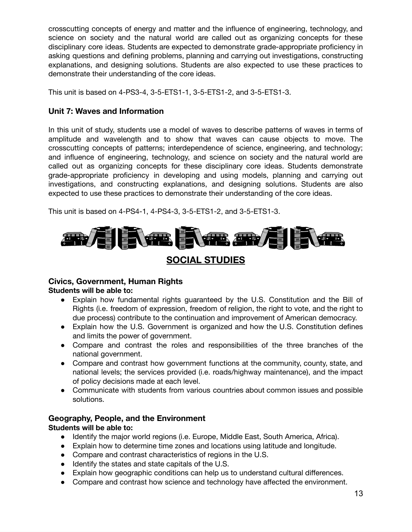crosscutting concepts of energy and matter and the influence of engineering, technology, and science on society and the natural world are called out as organizing concepts for these disciplinary core ideas. Students are expected to demonstrate grade-appropriate proficiency in asking questions and defining problems, planning and carrying out investigations, constructing explanations, and designing solutions. Students are also expected to use these practices to demonstrate their understanding of the core ideas.

This unit is based on 4-PS3-4, 3-5-ETS1-1, 3-5-ETS1-2, and 3-5-ETS1-3.

# **Unit 7: Waves and Information**

In this unit of study, students use a model of waves to describe patterns of waves in terms of amplitude and wavelength and to show that waves can cause objects to move. The crosscutting concepts of patterns; interdependence of science, engineering, and technology; and influence of engineering, technology, and science on society and the natural world are called out as organizing concepts for these disciplinary core ideas. Students demonstrate grade-appropriate proficiency in developing and using models, planning and carrying out investigations, and constructing explanations, and designing solutions. Students are also expected to use these practices to demonstrate their understanding of the core ideas.

This unit is based on 4-PS4-1, 4-PS4-3, 3-5-ETS1-2, and 3-5-ETS1-3.



# **SOCIAL STUDIES**

# **Civics, Government, Human Rights**

# **Students will be able to:**

- Explain how fundamental rights guaranteed by the U.S. Constitution and the Bill of Rights (i.e. freedom of expression, freedom of religion, the right to vote, and the right to due process) contribute to the continuation and improvement of American democracy.
- Explain how the U.S. Government is organized and how the U.S. Constitution defines and limits the power of government.
- Compare and contrast the roles and responsibilities of the three branches of the national government.
- Compare and contrast how government functions at the community, county, state, and national levels; the services provided (i.e. roads/highway maintenance), and the impact of policy decisions made at each level.
- Communicate with students from various countries about common issues and possible solutions.

# **Geography, People, and the Environment**

#### **Students will be able to:**

- Identify the major world regions (i.e. Europe, Middle East, South America, Africa).
- Explain how to determine time zones and locations using latitude and longitude.
- Compare and contrast characteristics of regions in the U.S.
- Identify the states and state capitals of the U.S.
- Explain how geographic conditions can help us to understand cultural differences.
- Compare and contrast how science and technology have affected the environment.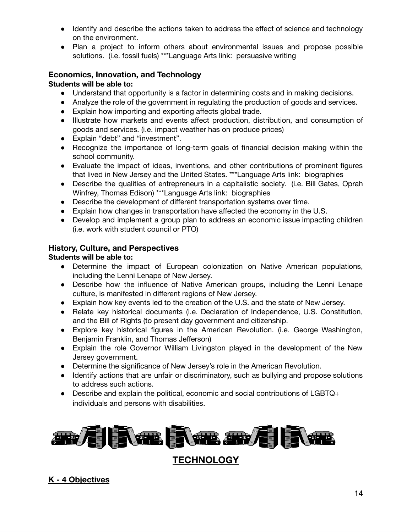- Identify and describe the actions taken to address the effect of science and technology on the environment.
- Plan a project to inform others about environmental issues and propose possible solutions. (i.e. fossil fuels) \*\*\*Language Arts link: persuasive writing

#### **Economics, Innovation, and Technology Students will be able to:**

- Understand that opportunity is a factor in determining costs and in making decisions.
- Analyze the role of the government in regulating the production of goods and services.
- Explain how importing and exporting affects global trade.
- Illustrate how markets and events affect production, distribution, and consumption of goods and services. (i.e. impact weather has on produce prices)
- Explain "debt" and "investment".
- Recognize the importance of long-term goals of financial decision making within the school community.
- Evaluate the impact of ideas, inventions, and other contributions of prominent figures that lived in New Jersey and the United States. \*\*\*Language Arts link: biographies
- Describe the qualities of entrepreneurs in a capitalistic society. (i.e. Bill Gates, Oprah Winfrey, Thomas Edison) \*\*\*Language Arts link: biographies
- Describe the development of different transportation systems over time.
- Explain how changes in transportation have affected the economy in the U.S.
- Develop and implement a group plan to address an economic issue impacting children (i.e. work with student council or PTO)

# **History, Culture, and Perspectives**

## **Students will be able to:**

- Determine the impact of European colonization on Native American populations, including the Lenni Lenape of New Jersey.
- Describe how the influence of Native American groups, including the Lenni Lenape culture, is manifested in different regions of New Jersey.
- Explain how key events led to the creation of the U.S. and the state of New Jersey.
- Relate key historical documents (i.e. Declaration of Independence, U.S. Constitution, and the Bill of Rights (to present day government and citizenship.
- Explore key historical figures in the American Revolution. (i.e. George Washington, Benjamin Franklin, and Thomas Jefferson)
- Explain the role Governor William Livingston played in the development of the New Jersey government.
- Determine the significance of New Jersey's role in the American Revolution.
- Identify actions that are unfair or discriminatory, such as bullying and propose solutions to address such actions.
- Describe and explain the political, economic and social contributions of LGBTQ+ individuals and persons with disabilities.



**TECHNOLOGY**

**K - 4 Objectives**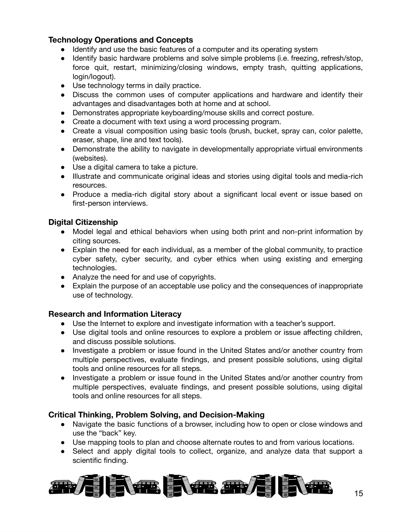## **Technology Operations and Concepts**

- Identify and use the basic features of a computer and its operating system
- Identify basic hardware problems and solve simple problems (i.e. freezing, refresh/stop, force quit, restart, minimizing/closing windows, empty trash, quitting applications, login/logout).
- Use technology terms in daily practice.
- Discuss the common uses of computer applications and hardware and identify their advantages and disadvantages both at home and at school.
- Demonstrates appropriate keyboarding/mouse skills and correct posture.
- Create a document with text using a word processing program.
- Create a visual composition using basic tools (brush, bucket, spray can, color palette, eraser, shape, line and text tools).
- Demonstrate the ability to navigate in developmentally appropriate virtual environments (websites).
- Use a digital camera to take a picture.
- Illustrate and communicate original ideas and stories using digital tools and media-rich resources.
- Produce a media-rich digital story about a significant local event or issue based on first-person interviews.

#### **Digital Citizenship**

- Model legal and ethical behaviors when using both print and non-print information by citing sources.
- Explain the need for each individual, as a member of the global community, to practice cyber safety, cyber security, and cyber ethics when using existing and emerging technologies.
- Analyze the need for and use of copyrights.
- Explain the purpose of an acceptable use policy and the consequences of inappropriate use of technology.

#### **Research and Information Literacy**

- Use the Internet to explore and investigate information with a teacher's support.
- Use digital tools and online resources to explore a problem or issue affecting children, and discuss possible solutions.
- Investigate a problem or issue found in the United States and/or another country from multiple perspectives, evaluate findings, and present possible solutions, using digital tools and online resources for all steps.
- Investigate a problem or issue found in the United States and/or another country from multiple perspectives, evaluate findings, and present possible solutions, using digital tools and online resources for all steps.

#### **Critical Thinking, Problem Solving, and Decision-Making**

- Navigate the basic functions of a browser, including how to open or close windows and use the "back" key.
- Use mapping tools to plan and choose alternate routes to and from various locations.
- Select and apply digital tools to collect, organize, and analyze data that support a scientific finding.

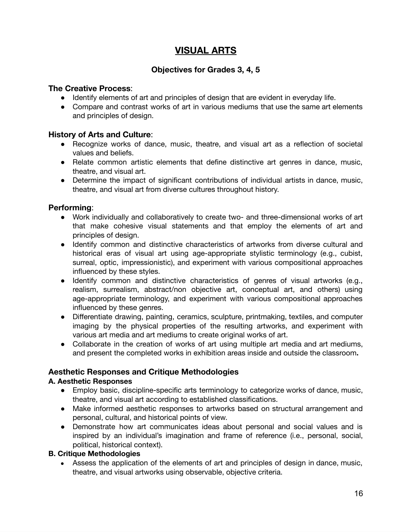# **VISUAL ARTS**

# **Objectives for Grades 3, 4, 5**

#### **The Creative Process**:

- Identify elements of art and principles of design that are evident in everyday life.
- Compare and contrast works of art in various mediums that use the same art elements and principles of design.

#### **History of Arts and Culture**:

- Recognize works of dance, music, theatre, and visual art as a reflection of societal values and beliefs.
- Relate common artistic elements that define distinctive art genres in dance, music, theatre, and visual art.
- Determine the impact of significant contributions of individual artists in dance, music, theatre, and visual art from diverse cultures throughout history.

#### **Performing**:

- Work individually and collaboratively to create two- and three-dimensional works of art that make cohesive visual statements and that employ the elements of art and principles of design.
- Identify common and distinctive characteristics of artworks from diverse cultural and historical eras of visual art using age-appropriate stylistic terminology (e.g., cubist, surreal, optic, impressionistic), and experiment with various compositional approaches influenced by these styles.
- Identify common and distinctive characteristics of genres of visual artworks (e.g., realism, surrealism, abstract/non objective art, conceptual art, and others) using age-appropriate terminology, and experiment with various compositional approaches influenced by these genres.
- Differentiate drawing, painting, ceramics, sculpture, printmaking, textiles, and computer imaging by the physical properties of the resulting artworks, and experiment with various art media and art mediums to create original works of art.
- **●** Collaborate in the creation of works of art using multiple art media and art mediums, and present the completed works in exhibition areas inside and outside the classroom**.**

#### **Aesthetic Responses and Critique Methodologies**

#### **A. Aesthetic Responses**

- Employ basic, discipline-specific arts terminology to categorize works of dance, music, theatre, and visual art according to established classifications.
- Make informed aesthetic responses to artworks based on structural arrangement and personal, cultural, and historical points of view.
- Demonstrate how art communicates ideas about personal and social values and is inspired by an individual's imagination and frame of reference (i.e., personal, social, political, historical context).

#### **B. Critique Methodologies**

• Assess the application of the elements of art and principles of design in dance, music, theatre, and visual artworks using observable, objective criteria.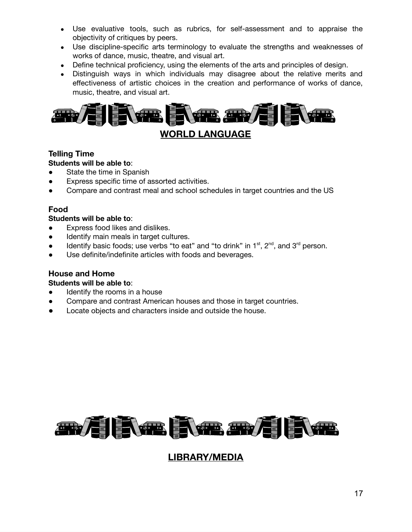- Use evaluative tools, such as rubrics, for self-assessment and to appraise the objectivity of critiques by peers.
- Use discipline-specific arts terminology to evaluate the strengths and weaknesses of works of dance, music, theatre, and visual art.
- Define technical proficiency, using the elements of the arts and principles of design.
- Distinguish ways in which individuals may disagree about the relative merits and effectiveness of artistic choices in the creation and performance of works of dance, music, theatre, and visual art.



# **WORLD LANGUAGE**

# **Telling Time**

## **Students will be able to**:

- State the time in Spanish
- Express specific time of assorted activities.
- Compare and contrast meal and school schedules in target countries and the US

# **Food**

## **Students will be able to**:

- Express food likes and dislikes.
- Identify main meals in target cultures.
- $\bullet$  Identify basic foods; use verbs "to eat" and "to drink" in 1<sup>st</sup>, 2<sup>nd</sup>, and 3<sup>rd</sup> person.
- Use definite/indefinite articles with foods and beverages.

# **House and Home**

#### **Students will be able to**:

- Identify the rooms in a house
- Compare and contrast American houses and those in target countries.
- Locate objects and characters inside and outside the house.



# **LIBRARY/MEDIA**